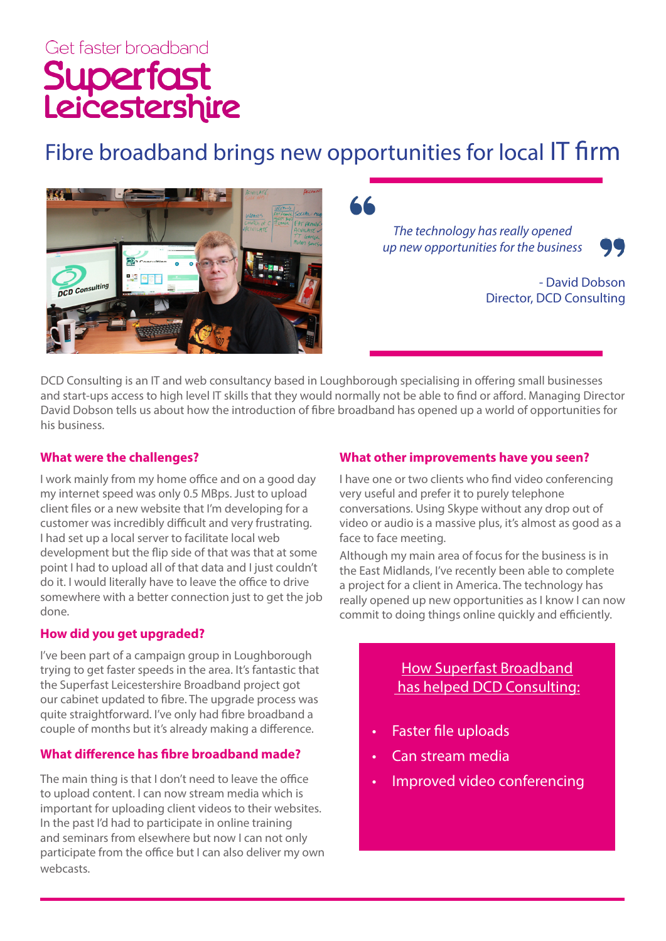# Get faster broadband Superfast<br>Leicestershire

# Fibre broadband brings new opportunities for local IT firm



*The technology has really opened up new opportunities for the business*



- David Dobson Director, DCD Consulting

DCD Consulting is an IT and web consultancy based in Loughborough specialising in offering small businesses and start-ups access to high level IT skills that they would normally not be able to find or afford. Managing Director David Dobson tells us about how the introduction of fibre broadband has opened up a world of opportunities for his business.

#### **What were the challenges?**

I work mainly from my home office and on a good day my internet speed was only 0.5 MBps. Just to upload client files or a new website that I'm developing for a customer was incredibly difficult and very frustrating. I had set up a local server to facilitate local web development but the flip side of that was that at some point I had to upload all of that data and I just couldn't do it. I would literally have to leave the office to drive somewhere with a better connection just to get the job done.

#### **How did you get upgraded?**

I've been part of a campaign group in Loughborough trying to get faster speeds in the area. It's fantastic that the Superfast Leicestershire Broadband project got our cabinet updated to fibre. The upgrade process was quite straightforward. I've only had fibre broadband a couple of months but it's already making a difference.

#### **What difference has fibre broadband made?**

The main thing is that I don't need to leave the office to upload content. I can now stream media which is important for uploading client videos to their websites. In the past I'd had to participate in online training and seminars from elsewhere but now I can not only participate from the office but I can also deliver my own webcasts.

# **What other improvements have you seen?**

I have one or two clients who find video conferencing very useful and prefer it to purely telephone conversations. Using Skype without any drop out of video or audio is a massive plus, it's almost as good as a face to face meeting.

Although my main area of focus for the business is in the East Midlands, I've recently been able to complete a project for a client in America. The technology has really opened up new opportunities as I know I can now commit to doing things online quickly and efficiently.

> How Superfast Broadband has helped DCD Consulting:

- Faster file uploads
- Can stream media
- Improved video conferencing